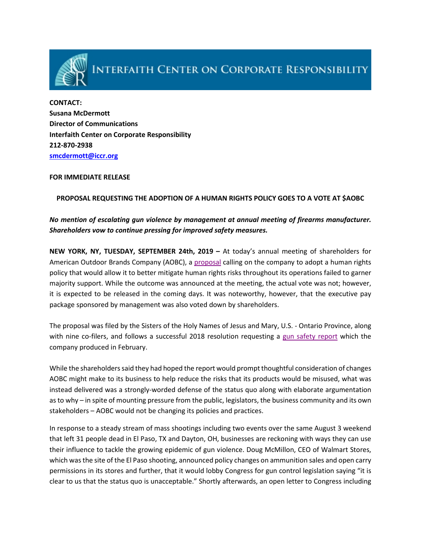

# **INTERFAITH CENTER ON CORPORATE RESPONSIBILITY**

**CONTACT: Susana McDermott Director of Communications Interfaith Center on Corporate Responsibility 212-870-2938 [smcdermott@iccr.org](mailto:smcdermott@iccr.org)**

#### **FOR IMMEDIATE RELEASE**

#### **PROPOSAL REQUESTING THE ADOPTION OF A HUMAN RIGHTS POLICY GOES TO A VOTE AT \$AOBC**

## *No mention of escalating gun violence by management at annual meeting of firearms manufacturer. Shareholders vow to continue pressing for improved safety measures.*

**NEW YORK, NY, TUESDAY, SEPTEMBER 24th, 2019 –** At today's annual meeting of shareholders for American Outdoor Brands Company (AOBC), a [proposal](https://www.iccr.org/sites/default/files/page_attachments/aobc_develop_human_rights_policy_2019_final_0.pdf) calling on the company to adopt a human rights policy that would allow it to better mitigate human rights risks throughout its operations failed to garner majority support. While the outcome was announced at the meeting, the actual vote was not; however, it is expected to be released in the coming days. It was noteworthy, however, that the executive pay package sponsored by management was also voted down by shareholders.

The proposal was filed by the Sisters of the Holy Names of Jesus and Mary, U.S. - Ontario Province, along with nine co-filers, and follows a successful 2018 resolution requesting a [gun safety report](https://ir.aob.com/static-files/52fdcb73-60a9-400a-a5b7-c4c201632a3a) which the company produced in February.

While the shareholders said they had hoped the report would prompt thoughtful consideration of changes AOBC might make to its business to help reduce the risks that its products would be misused, what was instead delivered was a strongly-worded defense of the status quo along with elaborate argumentation as to why – in spite of mounting pressure from the public, legislators, the business community and its own stakeholders – AOBC would not be changing its policies and practices.

In response to a steady stream of mass shootings including two events over the same August 3 weekend that left 31 people dead in El Paso, TX and Dayton, OH, businesses are reckoning with ways they can use their influence to tackle the growing epidemic of gun violence. Doug McMillon, CEO of Walmart Stores, which was the site of the El Paso shooting, announced policy changes on ammunition sales and open carry permissions in its stores and further, that it would lobby Congress for gun control legislation saying "it is clear to us that the status quo is unacceptable." Shortly afterwards, an open letter to Congress including